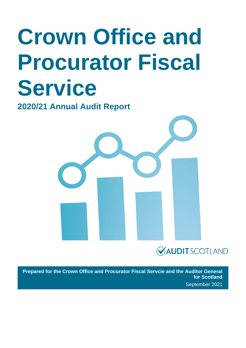# **Crown Office and Procurator Fiscal Service**

**2020/21 Annual Audit Report** 



### **VAUDITSCOTLAND**

**Prepared for the Crown Office and Procurator Fiscal Servcie and the Auditor General for Scotland** September 2021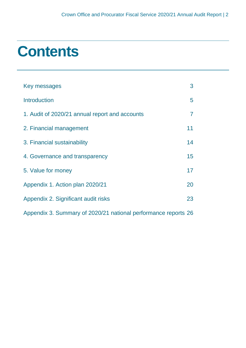### **Contents**

| Key messages                                                   | 3  |
|----------------------------------------------------------------|----|
| <b>Introduction</b>                                            | 5  |
| 1. Audit of 2020/21 annual report and accounts                 | 7  |
| 2. Financial management                                        | 11 |
| 3. Financial sustainability                                    | 14 |
| 4. Governance and transparency                                 | 15 |
| 5. Value for money                                             | 17 |
| Appendix 1. Action plan 2020/21                                | 20 |
| Appendix 2. Significant audit risks                            | 23 |
| Appendix 3. Summary of 2020/21 national performance reports 26 |    |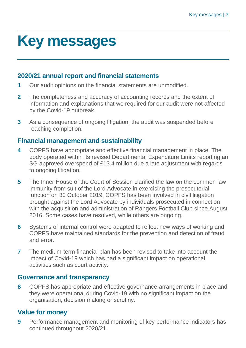### <span id="page-2-0"></span>**Key messages**

#### **2020/21 annual report and financial statements**

- **1** Our audit opinions on the financial statements are unmodified.
- **2** The completeness and accuracy of accounting records and the extent of information and explanations that we required for our audit were not affected by the Covid-19 outbreak.
- **3** As a consequence of ongoing litigation, the audit was suspended before reaching completion.

#### **Financial management and sustainability**

- **4** COPFS have appropriate and effective financial management in place. The body operated within its revised Departmental Expenditure Limits reporting an SG approved overspend of £13.4 million due a late adjustment with regards to ongoing litigation.
- **5** The Inner House of the Court of Session clarified the law on the common law immunity from suit of the Lord Advocate in exercising the prosecutorial function on 30 October 2019. COPFS has been involved in civil litigation brought against the Lord Advocate by individuals prosecuted in connection with the acquisition and administration of Rangers Football Club since August 2016. Some cases have resolved, while others are ongoing.
- **6** Systems of internal control were adapted to reflect new ways of working and COPFS have maintained standards for the prevention and detection of fraud and error.
- **7** The medium-term financial plan has been revised to take into account the impact of Covid-19 which has had a significant impact on operational activities such as court activity.

#### **Governance and transparency**

**8** COPFS has appropriate and effective governance arrangements in place and they were operational during Covid-19 with no significant impact on the organisation, decision making or scrutiny.

### **Value for money**

**9** Performance management and monitoring of key performance indicators has continued throughout 2020/21.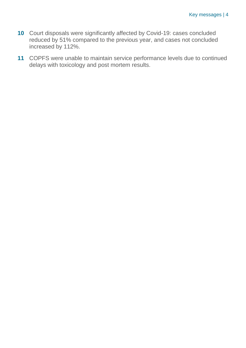- **10** Court disposals were significantly affected by Covid-19: cases concluded reduced by 51% compared to the previous year, and cases not concluded increased by 112%.
- **11** COPFS were unable to maintain service performance levels due to continued delays with toxicology and post mortem results.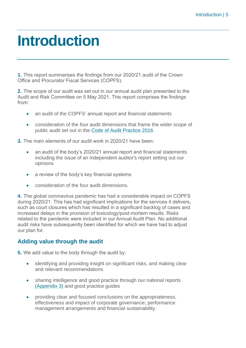### <span id="page-4-0"></span>**Introduction**

**1.** This report summarises the findings from our 2020/21 audit of the Crown Office and Procurator Fiscal Services (COPFS).

**2.** The scope of our audit was set out in our annual audit plan presented to the Audit and Risk Committee on 5 May 2021. This report comprises the findings from:

- an audit of the COPFS' annual report and financial statements
- consideration of the four audit dimensions that frame the wider scope of public audit set out in the [Code of Audit Practice 2016.](http://www.audit-scotland.gov.uk/report/code-of-audit-practice-2016)

**3.** The main elements of our audit work in 2020/21 have been:

- an audit of the body's 2020/21 annual report and financial statements including the issue of an independent auditor's report setting out our opinions
- a review of the body's key financial systems
- consideration of the four audit dimensions.

**4.** The global coronavirus pandemic has had a considerable impact on COPFS during 2020/21. This has had significant implications for the services it delivers, such as court closures which has resulted in a significant backlog of cases and increased delays in the provision of toxicology/post-mortem results. Risks related to the pandemic were included in our Annual Audit Plan. No additional audit risks have subsequently been identified for which we have had to adjust our plan for.

#### **Adding value through the audit**

**5.** We add value to the body through the audit by:

- identifying and providing insight on significant risks, and making clear and relevant recommendations
- sharing intelligence and good practice through our national reports [\(Appendix 3\)](#page-25-0) and good practice guides
- providing clear and focused conclusions on the appropriateness, effectiveness and impact of corporate governance, performance management arrangements and financial sustainability.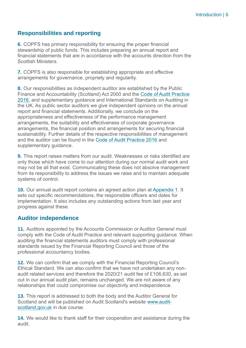#### **Responsibilities and reporting**

**6.** COPFS has primary responsibility for ensuring the proper financial stewardship of public funds. This includes preparing an annual report and financial statements that are in accordance with the accounts direction from the Scottish Ministers.

**7.** COPFS is also responsible for establishing appropriate and effective arrangements for governance, propriety and regularity.

**8.** Our responsibilities as independent auditor are established by the Public Finance and Accountability (Scotland) Act 2000 and the [Code of Audit Practice](https://www.audit-scotland.gov.uk/report/code-of-audit-practice-2016)  [2016,](https://www.audit-scotland.gov.uk/report/code-of-audit-practice-2016) and supplementary guidance and International Standards on Auditing in the UK. As public sector auditors we give independent opinions on the annual report and financial statements. Additionally, we conclude on the appropriateness and effectiveness of the performance management arrangements, the suitability and effectiveness of corporate governance arrangements, the financial position and arrangements for securing financial sustainability. Further details of the respective responsibilities of management and the auditor can be found in the [Code of Audit Practice 2016](http://auditscotland.spideronline.co.uk/report/code-of-audit-practice-2016) and supplementary guidance.

**9.** This report raises matters from our audit. Weaknesses or risks identified are only those which have come to our attention during our normal audit work and may not be all that exist. Communicating these does not absolve management from its responsibility to address the issues we raise and to maintain adequate systems of control.

**10.** Our annual audit report contains an agreed action plan at [Appendix 1.](#page-19-0) It sets out specific recommendations, the responsible officers and dates for implementation. It also includes any outstanding actions from last year and progress against these.

#### **Auditor independence**

**11.** Auditors appointed by the Accounts Commission or Auditor General must comply with the Code of Audit Practice and relevant supporting guidance. When auditing the financial statements auditors must comply with professional standards issued by the Financial Reporting Council and those of the professional accountancy bodies.

**12.** We can confirm that we comply with the Financial Reporting Council's Ethical Standard. We can also confirm that we have not undertaken any nonaudit related services and therefore the 2020/21 audit fee of £106,630, as set out in our annual audit plan, remains unchanged. We are not aware of any relationships that could compromise our objectivity and independence.

**13.** This report is addressed to both the body and the Auditor General for Scotland and will be published on Audit Scotland's website [www.audit](http://www.audit-scotland.gov.uk/)[scotland.gov.uk](http://www.audit-scotland.gov.uk/) in due course.

**14.** We would like to thank staff for their cooperation and assistance during the audit.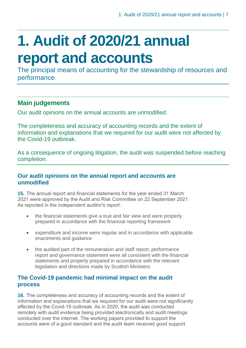### <span id="page-6-0"></span>**1. Audit of 2020/21 annual report and accounts**

The principal means of accounting for the stewardship of resources and performance

### **Main judgements**

Our audit opinions on the annual accounts are unmodified.

The completeness and accuracy of accounting records and the extent of information and explanations that we required for our audit were not affected by the Covid-19 outbreak.

As a consequence of ongoing litigation, the audit was suspended before reaching completion.

#### **Our audit opinions on the annual report and accounts are unmodified**

**15.** The annual report and financial statements for the year ended 31 March 2021 were approved by the Audit and Risk Committee on 22 September 2021. As reported in the independent auditor's report:

- the financial statements give a true and fair view and were properly prepared in accordance with the financial reporting framework
- expenditure and income were regular and in accordance with applicable enactments and guidance
- the audited part of the remuneration and staff report, performance report and governance statement were all consistent with the financial statements and properly prepared in accordance with the relevant legislation and directions made by Scottish Ministers.

#### **The Covid-19 pandemic had minimal impact on the audit process**

**16.** The completeness and accuracy of accounting records and the extent of information and explanations that we required for our audit were not significantly affected by the Covid-19 outbreak. As in 2020, the audit was conducted remotely with audit evidence being provided electronically and audit meetings conducted over the internet. The working papers provided to support the accounts were of a good standard and the audit team received good support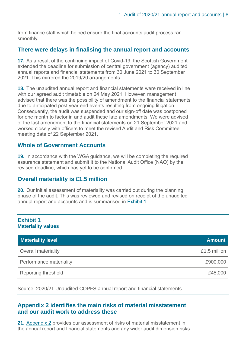from finance staff which helped ensure the final accounts audit process ran smoothly.

#### **There were delays in finalising the annual report and accounts**

**17.** As a result of the continuing impact of Covid-19, the Scottish Government extended the deadline for submission of central government (agency) audited annual reports and financial statements from 30 June 2021 to 30 September 2021. This mirrored the 2019/20 arrangements.

**18.** The unaudited annual report and financial statements were received in line with our agreed audit timetable on 24 May 2021. However, management advised that there was the possibility of amendment to the financial statements due to anticipated post year end events resulting from ongoing litigation. Consequently, the audit was suspended and our sign-off date was postponed for one month to factor in and audit these late amendments. We were advised of the last amendment to the financial statements on 21 September 2021 and worked closely with officers to meet the revised Audit and Risk Committee meeting date of 22 September 2021.

#### **Whole of Government Accounts**

**19.** In accordance with the WGA guidance, we will be completing the required assurance statement and submit it to the National Audit Office (NAO) by the revised deadline, which has yet to be confirmed.

#### **Overall materiality is £1.5 million**

**20.** Our initial assessment of materiality was carried out during the planning phase of the audit. This was reviewed and revised on receipt of the unaudited annual report and accounts and is summarised in [Exhibit](#page-7-0) 1.

<span id="page-7-0"></span>

| <b>Exhibit 1</b><br><b>Materiality values</b> |               |
|-----------------------------------------------|---------------|
| <b>Materiality level</b>                      | <b>Amount</b> |
| <b>Overall materiality</b>                    | £1.5 million  |
| Performance materiality                       | £900,000      |
| Reporting threshold                           | £45,000       |

Source: 2020/21 Unaudited COPFS annual report and financial statements

#### **[Appendix 2](#page-22-0) identifies the main risks of material misstatement and our audit work to address these**

**21.** [Appendix 2](#page-22-0) provides our assessment of risks of material misstatement in the annual report and financial statements and any wider audit dimension risks.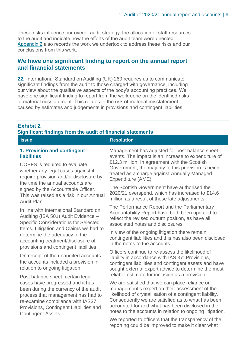These risks influence our overall audit strategy, the allocation of staff resources to the audit and indicate how the efforts of the audit team were directed. [Appendix 2](#page-22-0) also records the work we undertook to address these risks and our conclusions from this work.

#### **We have one significant finding to report on the annual report and financial statements**

**22.** International Standard on Auditing (UK) 260 requires us to communicate significant findings from the audit to those charged with governance, including our view about the qualitative aspects of the body's accounting practices. We have one significant finding to report from the work done on the identified risks of material misstatement. This relates to the risk of material misstatement caused by estimates and judgements in provisions and contingent liabilities.

#### <span id="page-8-0"></span>**Exhibit 2**

#### **Significant findings from the audit of financial statements**

| <b>Issue</b>                                                                                                                                                                                                                                                     | <b>Resolution</b>                                                                                                                                                                                                                                                                                                                                                                    |
|------------------------------------------------------------------------------------------------------------------------------------------------------------------------------------------------------------------------------------------------------------------|--------------------------------------------------------------------------------------------------------------------------------------------------------------------------------------------------------------------------------------------------------------------------------------------------------------------------------------------------------------------------------------|
| 1. Provision and contingent<br><b>liabilities</b><br>COPFS is required to evaluate<br>whether any legal cases against it<br>require provision and/or disclosure by<br>the time the annual accounts are                                                           | Management has adjusted for post balance sheet<br>events. The impact is an increase to expenditure of<br>£12.3 million. In agreement with the Scottish<br>Government, the majority of this provision is being<br>treated as a charge against Annually Managed<br>Expenditure (AME).                                                                                                  |
| signed by the Accountable Officer.<br>This was raised as a risk in our Annual<br>Audit Plan.                                                                                                                                                                     | The Scottish Government have authorised the<br>2020/21 overspend, which has increased to £14.6<br>million as a result of these late adjustments.                                                                                                                                                                                                                                     |
| In line with International Standard on<br>Auditing (ISA 501) Audit Evidence -<br><b>Specific Considerations for Selected</b>                                                                                                                                     | The Performance Report and the Parliamentary<br>Accountability Report have both been updated to<br>reflect the revised outturn position, as have all<br>associated notes and disclosures.                                                                                                                                                                                            |
| Items, Litigation and Claims we had to<br>determine the adequacy of the<br>accounting treatment/disclosure of<br>provisions and contingent liabilities.                                                                                                          | In view of the ongoing litigation there remain<br>contingent liabilities and this has also been disclosed<br>in the notes to the accounts.                                                                                                                                                                                                                                           |
| On receipt of the unaudited accounts<br>the accounts included a provision in<br>relation to ongoing litigation.                                                                                                                                                  | Officers continue to re-assess the likelihood of<br>liability in accordance with IAS 37: Provisions,<br>contingent liabilities and contingent assets and have<br>sought external expert advice to determine the most                                                                                                                                                                 |
| Post balance sheet, certain legal<br>cases have progressed and it has<br>been during the currency of the audit<br>process that management has had to<br>re-examine compliance with IAS37:<br>Provisions, Contingent Liabilities and<br><b>Contingent Assets.</b> | reliable estimate for inclusion as a provision.<br>We are satisfied that we can place reliance on<br>management's expert on their assessment of the<br>likelihood of crystallisation of a contingent liability.<br>Consequently we are satisfied as to what has been<br>accounted for and what has been disclosed in the<br>notes to the accounts in relation to ongoing litigation. |
|                                                                                                                                                                                                                                                                  | We reported to officers that the transparency of the<br>reporting could be improved to make it clear what                                                                                                                                                                                                                                                                            |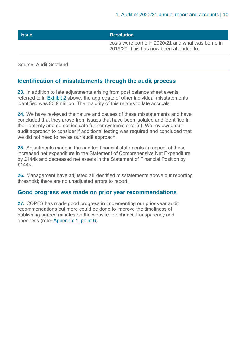#### **Issue Resolution**

costs were borne in 2020/21 and what was borne in 2019/20. This has now been attended to.

Source: Audit Scotland

#### **Identification of misstatements through the audit process**

**23.** In addition to late adjustments arising from post balance sheet events, referred to in [Exhibit 2](#page-8-0) above, the aggregate of other individual misstatements identified was £0.9 million. The majority of this relates to late accruals.

**24.** We have reviewed the nature and causes of these misstatements and have concluded that they arose from issues that have been isolated and identified in their entirety and do not indicate further systemic error(s). We reviewed our audit approach to consider if additional testing was required and concluded that we did not need to revise our audit approach.

**25.** Adjustments made in the audited financial statements in respect of these increased net expenditure in the Statement of Comprehensive Net Expenditure by £144k and decreased net assets in the Statement of Financial Position by £144k.

**26.** Management have adjusted all identified misstatements above our reporting threshold; there are no unadjusted errors to report.

#### **Good progress was made on prior year recommendations**

**27.** COPFS has made good progress in implementing our prior year audit recommendations but more could be done to improve the timeliness of publishing agreed minutes on the website to enhance transparency and openness (refer [Appendix 1, point 6\)](#page-21-0).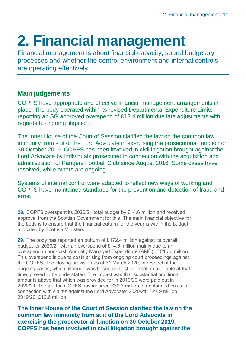## <span id="page-10-0"></span>**2. Financial management**

Financial management is about financial capacity, sound budgetary processes and whether the control environment and internal controls are operating effectively.

#### **Main judgements**

COPFS have appropriate and effective financial management arrangements in place. The body operated within its revised Departmental Expenditure Limits reporting an SG approved overspend of £13.4 million due late adjustments with regards to ongoing litigation.

The Inner House of the Court of Session clarified the law on the common law immunity from suit of the Lord Advocate in exercising the prosecutorial function on 30 October 2019. COPFS has been involved in civil litigation brought against the Lord Advocate by individuals prosecuted in connection with the acquisition and administration of Rangers Football Club since August 2016. Some cases have resolved, while others are ongoing.

Systems of internal control were adapted to reflect new ways of working and COPFS have maintained standards for the prevention and detection of fraud and error.

**28.** COPFS overspent its 2020/21 total budget by £14.6 million and received approval from the Scottish Government for this. The main financial objective for the body is to ensure that the financial outturn for the year is within the budget allocated by Scottish Ministers.

**29.** The body has reported an outturn of £172.4 million against its overall budget for 2020/21 with an overspend of £14.6 million mainly due to an overspend in non-cash Annually Managed Expenditure (AME) of £15.0 million. This overspend is due to costs arising from ongoing court proceedings against the COPFS. The closing provision as at 31 March 2020, in respect of the ongoing cases, which although was based on best information available at that time, proved to be understated. The impact was that substantial additional amounts above that which was provided for in 2019/20 were paid out in 2020/21. To date the COPFS has incurred £39.3 million of unplanned costs in connection with claims against the Lord Advocate: 2020/21: £27.9 million, 2019/20: £12.6 million.

**The Inner House of the Court of Session clarified the law on the common law immunity from suit of the Lord Advocate in exercising the prosecutorial function on 30 October 2019. COPFS has been involved in civil litigation brought against the**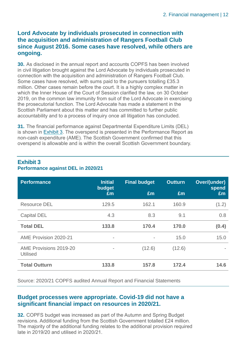#### **Lord Advocate by individuals prosecuted in connection with the acquisition and administration of Rangers Football Club since August 2016. Some cases have resolved, while others are ongoing.**

**30.** As disclosed in the annual report and accounts COPFS has been involved in civil litigation brought against the Lord Advocate by individuals prosecuted in connection with the acquisition and administration of Rangers Football Club. Some cases have resolved, with sums paid to the pursuers totalling £35.3 million. Other cases remain before the court. It is a highly complex matter in which the Inner House of the Court of Session clarified the law, on 30 October 2019, on the common law immunity from suit of the Lord Advocate in exercising the prosecutorial function. The Lord Advocate has made a statement in the Scottish Parliament about this matter and has committed to further public accountability and to a process of inquiry once all litigation has concluded.

**31.** The financial performance against Departmental Expenditure Limits (DEL) is shown in [Exhibit](#page-11-0) 3. The overspend is presented in the Performance Report as non-cash expenditure (AME). The Scottish Government confirmed that this overspend is allowable and is within the overall Scottish Government boundary.

| <b>Performance</b>                        | <b>Initial</b><br>budget     | <b>Final budget</b>      | <b>Outturn</b> | Over/(under)<br>spend |
|-------------------------------------------|------------------------------|--------------------------|----------------|-----------------------|
|                                           | £m                           | Em                       | £m             | Em                    |
| <b>Resource DEL</b>                       | 129.5                        | 162.1                    | 160.9          | (1.2)                 |
| <b>Capital DEL</b>                        | 4.3                          | 8.3                      | 9.1            | 0.8                   |
| <b>Total DEL</b>                          | 133.8                        | 170.4                    | 170.0          | (0.4)                 |
| AME Provision 2020-21                     | $\qquad \qquad \blacksquare$ | $\overline{\phantom{a}}$ | 15.0           | 15.0                  |
| AME Provisions 2019-20<br><b>Utilised</b> |                              | (12.6)                   | (12.6)         |                       |
| <b>Total Outturn</b>                      | 133.8                        | 157.8                    | 172.4          | 14.6                  |

#### <span id="page-11-0"></span>**Exhibit 3 Performance against DEL in 2020/21**

Source: 2020/21 COPFS audited Annual Report and Financial Statements

#### **Budget processes were appropriate. Covid-19 did not have a significant financial impact on resources in 2020/21.**

**32.** COPFS budget was increased as part of the Autumn and Spring Budget revisions. Additional funding from the Scottish Government totalled £24 million. The majority of the additional funding relates to the additional provision required late in 2019/20 and utilised in 2020/21.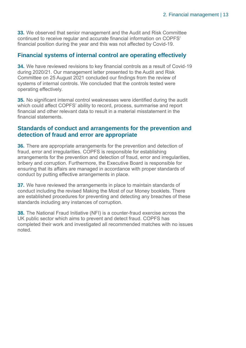**33.** We observed that senior management and the Audit and Risk Committee continued to receive regular and accurate financial information on COPFS' financial position during the year and this was not affected by Covid-19.

#### **Financial systems of internal control are operating effectively**

**34.** We have reviewed revisions to key financial controls as a result of Covid-19 during 2020/21. Our management letter presented to the Audit and Risk Committee on 25 August 2021 concluded our findings from the review of systems of internal controls. We concluded that the controls tested were operating effectively.

**35.** No significant internal control weaknesses were identified during the audit which could affect COPFS' ability to record, process, summarise and report financial and other relevant data to result in a material misstatement in the financial statements.

#### **Standards of conduct and arrangements for the prevention and detection of fraud and error are appropriate**

**36.** There are appropriate arrangements for the prevention and detection of fraud, error and irregularities. COPFS is responsible for establishing arrangements for the prevention and detection of fraud, error and irregularities, bribery and corruption. Furthermore, the Executive Board is responsible for ensuring that its affairs are managed in accordance with proper standards of conduct by putting effective arrangements in place.

**37.** We have reviewed the arrangements in place to maintain standards of conduct including the revised Making the Most of our Money booklets. There are established procedures for preventing and detecting any breaches of these standards including any instances of corruption.

**38.** The National Fraud Initiative (NFI) is a counter-fraud exercise across the UK public sector which aims to prevent and detect fraud. COPFS has completed their work and investigated all recommended matches with no issues noted.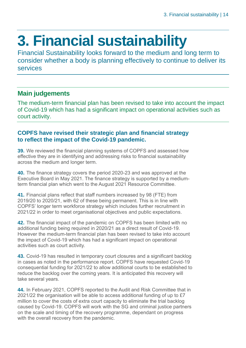## <span id="page-13-0"></span>**3. Financial sustainability**

Financial Sustainability looks forward to the medium and long term to consider whether a body is planning effectively to continue to deliver its services

#### **Main judgements**

The medium-term financial plan has been revised to take into account the impact of Covid-19 which has had a significant impact on operational activities such as court activity.

#### **COPFS have revised their strategic plan and financial strategy to reflect the impact of the Covid-19 pandemic.**

**39.** We reviewed the financial planning systems of COPFS and assessed how effective they are in identifying and addressing risks to financial sustainability across the medium and longer term.

**40.** The finance strategy covers the period 2020-23 and was approved at the Executive Board in May 2021. The finance strategy is supported by a mediumterm financial plan which went to the August 2021 Resource Committee.

**41.** Financial plans reflect that staff numbers increased by 98 (FTE) from 2019/20 to 2020/21, with 62 of these being permanent. This is in line with COPFS' longer term workforce strategy which includes further recruitment in 2021/22 in order to meet organisational objectives and public expectations.

**42.** The financial impact of the pandemic on COPFS has been limited with no additional funding being required in 2020/21 as a direct result of Covid-19. However the medium-term financial plan has been revised to take into account the impact of Covid-19 which has had a significant impact on operational activities such as court activity.

**43.** Covid-19 has resulted in temporary court closures and a significant backlog in cases as noted in the performance report. COPFS have requested Covid-19 consequential funding for 2021/22 to allow additional courts to be established to reduce the backlog over the coming years. It is anticipated this recovery will take several years.

**44.** In February 2021, COPFS reported to the Audit and Risk Committee that in 2021/22 the organisation will be able to access additional funding of up to £7 million to cover the costs of extra court capacity to eliminate the trial backlog caused by Covid-19. COPFS will work with the SG and criminal justice partners on the scale and timing of the recovery programme, dependant on progress with the overall recovery from the pandemic.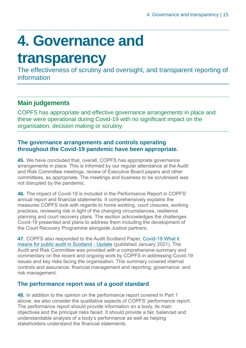## <span id="page-14-0"></span>**4. Governance and**

### **transparency**

The effectiveness of scrutiny and oversight, and transparent reporting of information

### **Main judgements**

COPFS has appropriate and effective governance arrangements in place and these were operational during Covid-19 with no significant impact on the organisation, decision making or scrutiny.

#### **The governance arrangements and controls operating throughout the Covid-19 pandemic have been appropriate.**

**45.** We have concluded that, overall, COPFS has appropriate governance arrangements in place. This is informed by our regular attendance at the Audit and Risk Committee meetings, review of Executive Board papers and other committees, as appropriate. The meetings and business to be scrutinised was not disrupted by the pandemic.

**46.** The impact of Covid-19 is included in the Performance Report in COPFS' annual report and financial statements. It comprehensively explains the measures COPFS took with regards to home working, court closures, working practices, reviewing risk in light of the changing circumstances, resilience planning and court recovery plans. The section acknowledges the challenges Covid-19 presented and plans to address them including the development of the Court Recovery Programme alongside Justice partners.

**47.** COPFS also responded to the Audit Scotland Paper, [Covid-19 What it](https://www.audit-scotland.gov.uk/uploads/docs/report/2021/briefing_covid_what_it_means_for_public_audit.pdf)  [means for public audit in Scotland -](https://www.audit-scotland.gov.uk/uploads/docs/report/2021/briefing_covid_what_it_means_for_public_audit.pdf) Update (published January 2021). The Audit and Risk Committee was provided with a comprehensive summary and commentary on the recent and ongoing work by COPFS in addressing Covid-19 issues and key risks facing the organisation. This summary covered internal controls and assurance; financial management and reporting; governance: and risk management.

#### **The performance report was of a good standard**

**48.** In addition to the opinion on the performance report covered in Part 1 above, we also consider the qualitative aspects of COPFS' performance report. The performance report should provide information on a body, its main objectives and the principal risks faced. It should provide a fair, balanced and understandable analysis of a body's performance as well as helping stakeholders understand the financial statements.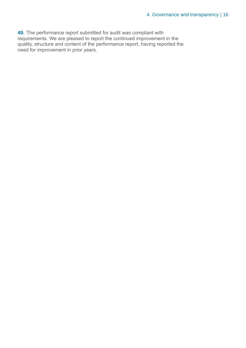**49.** The performance report submitted for audit was compliant with requirements. We are pleased to report the continued improvement in the quality, structure and content of the performance report, having reported the need for improvement in prior years.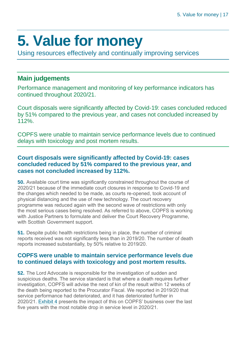## <span id="page-16-0"></span>**5. Value for money**

Using resources effectively and continually improving services

#### **Main judgements**

Performance management and monitoring of key performance indicators has continued throughout 2020/21.

Court disposals were significantly affected by Covid-19: cases concluded reduced by 51% compared to the previous year, and cases not concluded increased by 112%.

COPFS were unable to maintain service performance levels due to continued delays with toxicology and post mortem results.

#### **Court disposals were significantly affected by Covid-19: cases concluded reduced by 51% compared to the previous year, and cases not concluded increased by 112%.**

**50.** Available court time was significantly constrained throughout the course of 2020/21 because of the immediate court closures in response to Covid-19 and the changes which needed to be made, as courts re-opened, took account of physical distancing and the use of new technology. The court recovery programme was reduced again with the second wave of restrictions with only the most serious cases being resolved. As referred to above, COPFS is working with Justice Partners to formulate and deliver the Court Recovery Programme, with Scottish Government support.

**51.** Despite public health restrictions being in place, the number of criminal reports received was not significantly less than in 2019/20. The number of death reports increased substantially, by 50% relative to 2019/20.

#### **COPFS were unable to maintain service performance levels due to continued delays with toxicology and post mortem results.**

<span id="page-16-1"></span>**52.** The Lord Advocate is responsible for the investigation of sudden and suspicious deaths. The service standard is that where a death requires further investigation, COPFS will advise the next of kin of the result within 12 weeks of the death being reported to the Procurator Fiscal. We reported in 2019/20 that service performance had deteriorated, and it has deteriorated further in 2020/21. [Exhibit 4](#page-17-0) presents the impact of this on COPFS' business over the last five years with the most notable drop in service level in 2020/21.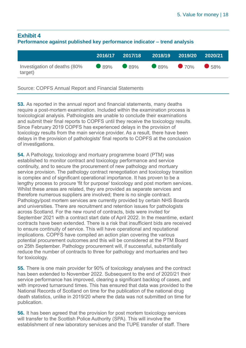#### <span id="page-17-0"></span>**Exhibit 4 Performance against published key performance indicator – trend analysis**

|                                         | 2016/17 | 2017/18                       | 2018/19 2019/20 2020/21 |  |
|-----------------------------------------|---------|-------------------------------|-------------------------|--|
| Investigation of deaths (80%<br>target) |         | $\bullet$ 89% 89% 89% 70% 58% |                         |  |

Source: COPFS Annual Report and Financial Statements

**53.** As reported in the annual report and financial statements, many deaths require a post-mortem examination. Included within the examination process is toxicological analysis. Pathologists are unable to conclude their examinations and submit their final reports to COPFS until they receive the toxicology results. Since February 2019 COPFS has experienced delays in the provision of toxicology results from the main service provider. As a result, there have been delays in the provision of pathologists' final reports to COPFS at the conclusion of investigations.

**54.** A Pathology, toxicology and mortuary programme board (PTM) was established to monitor contract and toxicology performance and service continuity, and to secure the procurement of new pathology and mortuary service provision. The pathology contract renegotiation and toxicology transition is complex and of significant operational importance. It has proven to be a lengthy process to procure 'fit for purpose' toxicology and post mortem services. Whilst these areas are related, they are provided as separate services and therefore numerous suppliers are involved; there is no single contract. Pathology/post mortem services are currently provided by certain NHS Boards and universities. There are recruitment and retention issues for pathologists across Scotland. For the new round of contracts, bids were invited for September 2021 with a contract start date of April 2022. In the meantime, extant contracts have been extended. There is a risk that insufficient bids are received to ensure continuity of service. This will have operational and reputational implications. COPFS have compiled an action plan covering the various potential procurement outcomes and this will be considered at the PTM Board on 25th September. Pathology procurement will, if successful, substantially reduce the number of contracts to three for pathology and mortuaries and two for toxicology.

**55.** There is one main provider for 90% of toxicology analyses and the contract has been extended to November 2022. Subsequent to the end of 2020/21 their service performance has improved, clearing a significant backlog of cases, and with improved turnaround times. This has ensured that data was provided to the National Records of Scotland on time for the publication of the national drug death statistics, unlike in 2019/20 where the data was not submitted on time for publication.

**56.** It has been agreed that the provision for post mortem toxicology services will transfer to the Scottish Police Authority (SPA). This will involve the establishment of new laboratory services and the TUPE transfer of staff. There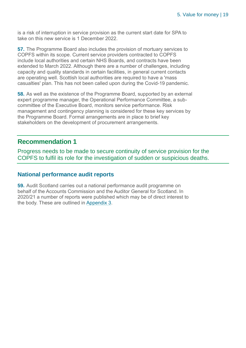is a risk of interruption in service provision as the current start date for SPA to take on this new service is 1 December 2022.

**57.** The Programme Board also includes the provision of mortuary services to COPFS within its scope. Current service providers contracted to COPFS include local authorities and certain NHS Boards, and contracts have been extended to March 2022. Although there are a number of challenges, including capacity and quality standards in certain facilities, in general current contacts are operating well. Scottish local authorities are required to have a 'mass casualties' plan. This has not been called upon during the Covid-19 pandemic.

**58.** As well as the existence of the Programme Board, supported by an external expert programme manager, the Operational Performance Committee, a subcommittee of the Executive Board, monitors service performance. Risk management and contingency planning is considered for these key services by the Programme Board. Formal arrangements are in place to brief key stakeholders on the development of procurement arrangements.

#### **Recommendation 1**

Progress needs to be made to secure continuity of service provision for the COPFS to fulfil its role for the investigation of sudden or suspicious deaths.

#### **National performance audit reports**

**59.** Audit Scotland carries out a national performance audit programme on behalf of the Accounts Commission and the Auditor General for Scotland. In 2020/21 a number of reports were published which may be of direct interest to the body. These are outlined in [Appendix 3.](#page-25-0)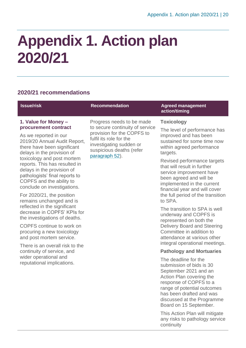## <span id="page-19-0"></span>**Appendix 1. Action plan 2020/21**

#### **2020/21 recommendations**

#### **Issue/risk Recommendation Agreed management action/timing 1. Value for Money – procurement contract** As we reported in our 2019/20 Annual Audit Report, there have been significant delays in the provision of toxicology and post mortem reports. This has resulted in delays in the provision of pathologists' final reports to COPFS and the ability to conclude on investigations. Progress needs to be made to secure continuity of service provision for the COPFS to fulfil its role for the investigating sudden or suspicious deaths (refer [paragraph 52\)](#page-16-1). **Toxicology** The level of performance has improved and has been sustained for some time now within agreed performance targets. Revised performance targets that will result in further service improvement have been agreed and will be implemented in the current financial year and will cover

For 2020/21, the position remains unchanged and is reflected in the significant decrease in COPFS' KPIs for the investigations of deaths.

COPFS continue to work on procuring a new toxicology and post mortem service.

There is an overall risk to the continuity of service, and wider operational and reputational implications.

the full period of the transition to SPA.

The transition to SPA is well underway and COPFS is represented on both the Delivery Board and Steering Committee in addition to attendance at various other integral operational meetings.

#### **Pathology and Mortuaries**

The deadline for the submission of bids is 30 September 2021 and an Action Plan covering the response of COPFS to a range of potential outcomes has been drafted and was discussed at the Programme Board on 15 September.

This Action Plan will mitigate any risks to pathology service continuity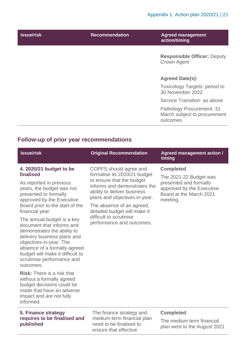| <b>Issue/risk</b> | <b>Recommendation</b> | <b>Agreed management</b><br>action/timing                             |
|-------------------|-----------------------|-----------------------------------------------------------------------|
|                   |                       | <b>Responsible Officer: Deputy</b><br><b>Crown Agent</b>              |
|                   |                       | <b>Agreed Date(s):</b>                                                |
|                   |                       | <b>Toxicology Targets: period to</b><br>30 November 2022              |
|                   |                       | Service Transition: as above                                          |
|                   |                       | Pathology Procurement: 31<br>March subject to procurement<br>outcomes |

#### **Follow-up of prior year recommendations**

| <b>Issue/risk</b>                                                                                                                                                                                                                                               | <b>Original Recommendation</b>                                                                                                                                                                                                                                              | <b>Agreed management action /</b><br>timing                                                                                              |
|-----------------------------------------------------------------------------------------------------------------------------------------------------------------------------------------------------------------------------------------------------------------|-----------------------------------------------------------------------------------------------------------------------------------------------------------------------------------------------------------------------------------------------------------------------------|------------------------------------------------------------------------------------------------------------------------------------------|
| 4. 2020/21 budget to be<br>finalised<br>As reported in previous<br>years, the budget was not<br>presented or formally<br>approved by the Executive<br>Board prior to the start of the<br>financial year.                                                        | COPFS should agree and<br>formalise its 2020/21 budget<br>to ensure that the budget<br>informs and demonstrates the<br>ability to deliver business<br>plans and objectives in-year.<br>The absence of an agreed,<br>detailed budget will make it<br>difficult to scrutinise | <b>Completed</b><br>The 2021-22 Budget was<br>presented and formally<br>approved by the Executive<br>Board at the March 2021<br>meeting. |
| The annual budget is a key<br>document that informs and<br>demonstrates the ability to<br>delivery business plans and<br>objectives in-year. The<br>absence of a formally agreed<br>budget will make it difficult to<br>scrutinise performance and<br>outcomes. | performance and outcomes.                                                                                                                                                                                                                                                   |                                                                                                                                          |
| <b>Risk:</b> There is a risk that<br>without a formally agreed<br>budget decisions could be<br>made that have an adverse<br>impact and are not fully<br>informed.                                                                                               |                                                                                                                                                                                                                                                                             |                                                                                                                                          |

#### **5. Finance strategy requires to be finalised and published**

The finance strategy and medium-term financial plan need to be finalised to ensure that effective

#### **Completed**

The medium term financial plan went to the August 2021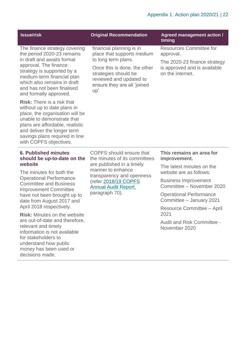<span id="page-21-0"></span>

| <b>Issue/risk</b>                                                                                                                                                                                                                                                                                                                                                                                                                                                                                                                        | <b>Original Recommendation</b>                                                                                                                                                                                           | <b>Agreed management action /</b><br>timing                                                                                                                                                                                                                                                                            |
|------------------------------------------------------------------------------------------------------------------------------------------------------------------------------------------------------------------------------------------------------------------------------------------------------------------------------------------------------------------------------------------------------------------------------------------------------------------------------------------------------------------------------------------|--------------------------------------------------------------------------------------------------------------------------------------------------------------------------------------------------------------------------|------------------------------------------------------------------------------------------------------------------------------------------------------------------------------------------------------------------------------------------------------------------------------------------------------------------------|
| The finance strategy covering<br>the period 2020-23 remains<br>in draft and awaits formal<br>approval. The finance<br>strategy is supported by a<br>medium-term financial plan<br>which also remains in draft<br>and has not been finalised<br>and formally approved.<br><b>Risk:</b> There is a risk that<br>without up to date plans in<br>place, the organisation will be<br>unable to demonstrate that<br>plans are affordable, realistic<br>and deliver the longer term<br>savings plans required in line<br>with COPFS objectives. | financial planning is in<br>place that supports medium<br>to long term plans.<br>Once this is done, the other<br>strategies should be<br>reviewed and updated to<br>ensure they are all 'joined<br>up'                   | <b>Resources Committee for</b><br>approval.<br>The 2020-23 finance strategy<br>is approved and is available<br>on the internet.                                                                                                                                                                                        |
| <b>6. Published minutes</b><br>should be up-to-date on the<br>website<br>The minutes for both the<br><b>Operational Performance</b><br><b>Committee and Business</b><br><b>Improvement Committee</b><br>have not been brought up to<br>date from August 2017 and<br>April 2018 respectively.<br><b>Risk:</b> Minutes on the website<br>are out-of-date and therefore,<br>relevant and timely<br>information is not available<br>for stakeholders to<br>understand how public<br>money has been used or<br>decisions made.                | <b>COPFS</b> should ensure that<br>the minutes of its committees<br>are published in a timely<br>manner to enhance<br>transparency and openness<br>(refer 2018/19 COPFS<br><b>Annual Audit Report,</b><br>paragraph 70). | This remains an area for<br>improvement.<br>The latest minutes on the<br>website are as follows:<br><b>Business Improvement</b><br>Committee - November 2020<br><b>Operational Performance</b><br>Committee - January 2021<br>Resource Committee - April<br>2021<br><b>Audit and Risk Committee -</b><br>November 2020 |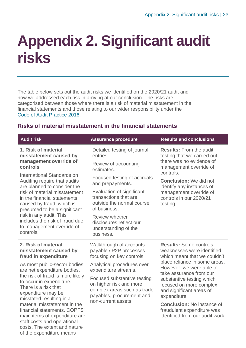### <span id="page-22-0"></span>**Appendix 2. Significant audit risks**

The table below sets out the audit risks we identified on the 2020/21 audit and how we addressed each risk in arriving at our conclusion. The risks are categorised between those where there is a risk of material misstatement in the financial statements and those relating to our wider responsibility under the [Code of Audit Practice 2016.](http://www.audit-scotland.gov.uk/report/code-of-audit-practice-2016)

#### **Risks of material misstatement in the financial statements**

| <b>Audit risk</b>                                                                                                                                                                        | <b>Assurance procedure</b>                                                                                         | <b>Results and conclusions</b>                                                                                                    |
|------------------------------------------------------------------------------------------------------------------------------------------------------------------------------------------|--------------------------------------------------------------------------------------------------------------------|-----------------------------------------------------------------------------------------------------------------------------------|
| 1. Risk of material<br>misstatement caused by<br>management override of<br>controls                                                                                                      | Detailed testing of journal<br>entries.<br>Review of accounting<br>estimates.                                      | <b>Results:</b> From the audit<br>testing that we carried out,<br>there was no evidence of<br>management override of<br>controls. |
| International Standards on<br>Auditing require that audits<br>are planned to consider the                                                                                                | Focused testing of accruals<br>and prepayments.                                                                    | <b>Conclusion:</b> We did not<br>identify any instances of                                                                        |
| risk of material misstatement<br>in the financial statements<br>caused by fraud, which is<br>presumed to be a significant                                                                | Evaluation of significant<br>transactions that are<br>outside the normal course<br>of business.                    | management override of<br>controls in our 2020/21<br>testing.                                                                     |
| risk in any audit. This<br>includes the risk of fraud due<br>to management override of<br>controls.                                                                                      | Review whether<br>disclosures reflect our<br>understanding of the<br>business.                                     |                                                                                                                                   |
| 2. Risk of material<br>misstatement caused by<br>fraud in expenditure                                                                                                                    | Walkthrough of accounts<br>payable / P2P processes<br>focusing on key controls.                                    | <b>Results: Some controls</b><br>weaknesses were identified<br>which meant that we couldn't                                       |
| As most public-sector bodies<br>are net expenditure bodies,                                                                                                                              | Analytical procedures over<br>expenditure streams.                                                                 | place reliance in some areas.<br>However, we were able to<br>take assurance from our                                              |
| the risk of fraud is more likely<br>to occur in expenditure.<br>There is a risk that<br>expenditure may be<br>misstated resulting in a                                                   | Focused substantive testing<br>on higher risk and more<br>complex areas such as trade<br>payables, procurement and | substantive testing which<br>focused on more complex<br>and significant areas of<br>expenditure.                                  |
| material misstatement in the<br>financial statements, COPFS'<br>main items of expenditure are<br>staff costs and operational<br>costs. The extent and nature<br>of the expenditure means | non-current assets.                                                                                                | <b>Conclusion: No instance of</b><br>fraudulent expenditure was<br>identified from our audit work.                                |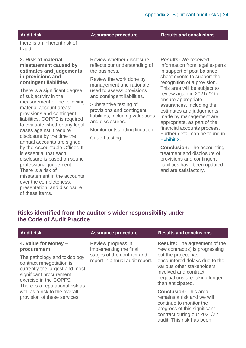**Audit risk Assurance procedure Results and conclusions**

there is an inherent risk of fraud.

#### **3. Risk of material misstatement caused by estimates and judgements in provisions and contingent liabilities**

There is a significant degree of subjectivity in the measurement of the following material account areas: provisions and contingent liabilities. COPFS is required to evaluate whether any legal cases against it require disclosure by the time the annual accounts are signed by the Accountable Officer. It is essential that each disclosure is based on sound professional judgement. There is a risk of misstatement in the accounts over the completeness, presentation, and disclosure of these items.

Review whether disclosure reflects our understanding of the business.

Review the work done by management and rationale used to assess provisions and contingent liabilities.

Substantive testing of provisions and contingent liabilities, including valuations and disclosures.

Monitor outstanding litigation.

Cut-off testing.

**Results:** We received information from legal experts in support of post balance sheet events to support the recognition of a provision. This area will be subject to review again in 2021/22 to ensure appropriate assurances, including the estimates and judgements made by management are appropriate, as part of the financial accounts process. Further detail can be found in [Exhibit 2.](#page-8-0)

**Conclusion:** The accounting treatment and disclosure of provisions and contingent liabilities have been updated and are satisfactory.

#### **Risks identified from the auditor's wider responsibility under the Code of Audit Practice**

| <b>Audit risk</b>                                                                                                                                                                       | <b>Assurance procedure</b>                                                                                   | <b>Results and conclusions</b>                                                                                                                                                                                          |
|-----------------------------------------------------------------------------------------------------------------------------------------------------------------------------------------|--------------------------------------------------------------------------------------------------------------|-------------------------------------------------------------------------------------------------------------------------------------------------------------------------------------------------------------------------|
| 4. Value for Money -<br>procurement<br>The pathology and toxicology<br>contract renegotiation is<br>currently the largest and most<br>significant procurement<br>exercise in the COPFS. | Review progress in<br>implementing the final<br>stages of the contract and<br>report in annual audit report. | <b>Results:</b> The agreement of the<br>new contract(s) is progressing<br>but the project has<br>encountered delays due to the<br>various other stakeholders<br>involved and contract<br>negotiations are taking longer |
| There is a reputational risk as<br>well as a risk to the overall<br>provision of these services.                                                                                        |                                                                                                              | than anticipated.<br><b>Conclusion: This area</b><br>remains a risk and we will<br>continue to monitor the<br>progress of this significant<br>contract during our 2021/22<br>audit. This risk has been                  |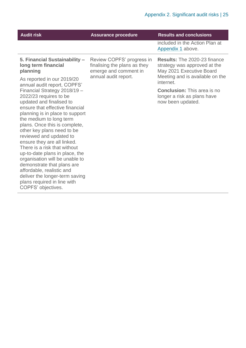| <b>Audit risk</b>                                                                                                                                                                                                                                                                                                                                                                                                                                                                                                                                                  | <b>Assurance procedure</b>                                                                                 | <b>Results and conclusions</b>                                                                  |
|--------------------------------------------------------------------------------------------------------------------------------------------------------------------------------------------------------------------------------------------------------------------------------------------------------------------------------------------------------------------------------------------------------------------------------------------------------------------------------------------------------------------------------------------------------------------|------------------------------------------------------------------------------------------------------------|-------------------------------------------------------------------------------------------------|
|                                                                                                                                                                                                                                                                                                                                                                                                                                                                                                                                                                    |                                                                                                            | included in the Action Plan at<br>Appendix 1 above.                                             |
| 5. Financial Sustainability -<br>long term financial<br>planning                                                                                                                                                                                                                                                                                                                                                                                                                                                                                                   | Review COPFS' progress in<br>finalising the plans as they<br>emerge and comment in<br>annual audit report. | <b>Results: The 2020-23 finance</b><br>strategy was approved at the<br>May 2021 Executive Board |
| As reported in our 2019/20<br>annual audit report, COPFS'                                                                                                                                                                                                                                                                                                                                                                                                                                                                                                          |                                                                                                            | Meeting and is available on the<br>internet.                                                    |
| Financial Strategy 2018/19 -<br>2022/23 requires to be<br>updated and finalised to<br>ensure that effective financial<br>planning is in place to support<br>the medium to long term<br>plans. Once this is complete,<br>other key plans need to be<br>reviewed and updated to<br>ensure they are all linked.<br>There is a risk that without<br>up-to-date plans in place, the<br>organisation will be unable to<br>demonstrate that plans are<br>affordable, realistic and<br>deliver the longer-term saving<br>plans required in line with<br>COPFS' objectives. |                                                                                                            | <b>Conclusion:</b> This area is no<br>longer a risk as plans have<br>now been updated.          |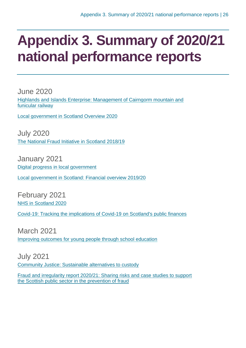### <span id="page-25-0"></span>**Appendix 3. Summary of 2020/21 national performance reports**

June 2020 [Highlands and Islands Enterprise: Management of Cairngorm mountain and](https://www.audit-scotland.gov.uk/report/highlands-and-islands-enterprise-management-of-cairngorm-mountain-and-funicular-railway)  [funicular railway](https://www.audit-scotland.gov.uk/report/highlands-and-islands-enterprise-management-of-cairngorm-mountain-and-funicular-railway)

[Local government in Scotland Overview 2020](https://www.audit-scotland.gov.uk/report/local-government-in-scotland-overview-2020)

July 2020 [The National Fraud Initiative in Scotland 2018/19](https://www.audit-scotland.gov.uk/report/the-national-fraud-initiative-in-scotland-201819)

January 2021 [Digital progress in local government](https://www.audit-scotland.gov.uk/report/digital-progress-in-local-government)

[Local government in Scotland: Financial overview 2019/20](https://www.audit-scotland.gov.uk/report/local-government-in-scotland-financial-overview-201920)

February 2021 [NHS in Scotland 2020](https://www.audit-scotland.gov.uk/report/nhs-in-scotland-2020)

[Covid-19: Tracking the implications of Covid-19 on Scotland's public finances](https://www.audit-scotland.gov.uk/report/covid-19-tracking-the-implications-of-covid-19-on-scotlands-public-finances)

March 2021 [Improving outcomes for young people through school education](https://www.audit-scotland.gov.uk/report/improving-outcomes-for-young-people-through-school-education)

July 2021 [Community Justice: Sustainable alternatives to custody](https://www.audit-scotland.gov.uk/news/community-justice-aims-not-yet-being-met)

Fraud and irregularity [report 2020/21: Sharing risks and case studies to support](https://www.audit-scotland.gov.uk/report/fraud-and-irregularity-202021)  [the Scottish public sector in the prevention of fraud](https://www.audit-scotland.gov.uk/report/fraud-and-irregularity-202021)